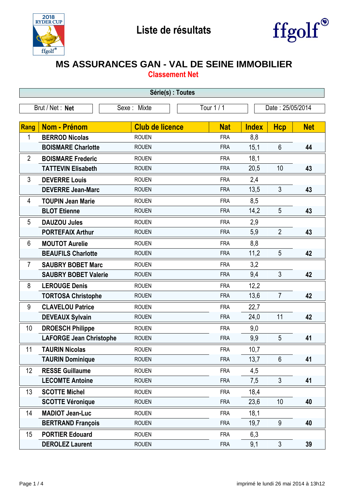



## **MS ASSURANCES GAN - VAL DE SEINE IMMOBILIER**

**Classement Net**

| Série(s) : Toutes |                                |                        |            |                  |                |            |  |
|-------------------|--------------------------------|------------------------|------------|------------------|----------------|------------|--|
|                   | Brut / Net: Net                | Sexe: Mixte            | Tour 1 / 1 | Date: 25/05/2014 |                |            |  |
|                   |                                |                        |            |                  |                |            |  |
| <b>Rang</b>       | <b>Nom - Prénom</b>            | <b>Club de licence</b> | <b>Nat</b> | <b>Index</b>     | <b>Hcp</b>     | <b>Net</b> |  |
| 1                 | <b>BERROD Nicolas</b>          | <b>ROUEN</b>           | <b>FRA</b> | 8,8              |                |            |  |
|                   | <b>BOISMARE Charlotte</b>      | <b>ROUEN</b>           | <b>FRA</b> | 15,1             | $6\phantom{1}$ | 44         |  |
| $\overline{2}$    | <b>BOISMARE Frederic</b>       | <b>ROUEN</b>           | <b>FRA</b> | 18,1             |                |            |  |
|                   | <b>TATTEVIN Elisabeth</b>      | <b>ROUEN</b>           | <b>FRA</b> | 20,5             | 10             | 43         |  |
| 3                 | <b>DEVERRE Louis</b>           | <b>ROUEN</b>           | <b>FRA</b> | 2,4              |                |            |  |
|                   | <b>DEVERRE Jean-Marc</b>       | <b>ROUEN</b>           | <b>FRA</b> | 13,5             | $\mathfrak{Z}$ | 43         |  |
| 4                 | <b>TOUPIN Jean Marie</b>       | <b>ROUEN</b>           | <b>FRA</b> | 8,5              |                |            |  |
|                   | <b>BLOT Etienne</b>            | <b>ROUEN</b>           | <b>FRA</b> | 14,2             | 5              | 43         |  |
| 5                 | <b>DAUZOU Jules</b>            | <b>ROUEN</b>           | <b>FRA</b> | 2,9              |                |            |  |
|                   | <b>PORTEFAIX Arthur</b>        | <b>ROUEN</b>           | <b>FRA</b> | 5,9              | $\overline{2}$ | 43         |  |
| 6                 | <b>MOUTOT Aurelie</b>          | <b>ROUEN</b>           | <b>FRA</b> | 8,8              |                |            |  |
|                   | <b>BEAUFILS Charlotte</b>      | <b>ROUEN</b>           | <b>FRA</b> | 11,2             | 5              | 42         |  |
| $\overline{7}$    | <b>SAUBRY BOBET Marc</b>       | <b>ROUEN</b>           | <b>FRA</b> | 3,2              |                |            |  |
|                   | <b>SAUBRY BOBET Valerie</b>    | <b>ROUEN</b>           | <b>FRA</b> | 9,4              | 3              | 42         |  |
| 8                 | <b>LEROUGE Denis</b>           | <b>ROUEN</b>           | <b>FRA</b> | 12,2             |                |            |  |
|                   | <b>TORTOSA Christophe</b>      | <b>ROUEN</b>           | <b>FRA</b> | 13,6             | $\overline{7}$ | 42         |  |
| 9                 | <b>CLAVELOU Patrice</b>        | <b>ROUEN</b>           | <b>FRA</b> | 22,7             |                |            |  |
|                   | <b>DEVEAUX Sylvain</b>         | <b>ROUEN</b>           | <b>FRA</b> | 24,0             | 11             | 42         |  |
| 10                | <b>DROESCH Philippe</b>        | <b>ROUEN</b>           | <b>FRA</b> | 9,0              |                |            |  |
|                   | <b>LAFORGE Jean Christophe</b> | <b>ROUEN</b>           | <b>FRA</b> | 9,9              | 5              | 41         |  |
| 11                | <b>TAURIN Nicolas</b>          | <b>ROUEN</b>           | <b>FRA</b> | 10,7             |                |            |  |
|                   | <b>TAURIN Dominique</b>        | <b>ROUEN</b>           | <b>FRA</b> | 13,7             | 6              | 41         |  |
| 12                | <b>RESSE Guillaume</b>         | <b>ROUEN</b>           | <b>FRA</b> | 4,5              |                |            |  |
|                   | <b>LECOMTE Antoine</b>         | <b>ROUEN</b>           | <b>FRA</b> | 7,5              | $\mathfrak{S}$ | 41         |  |
| 13                | <b>SCOTTE Michel</b>           | <b>ROUEN</b>           | <b>FRA</b> | 18,4             |                |            |  |
|                   | <b>SCOTTE Véronique</b>        | <b>ROUEN</b>           | <b>FRA</b> | 23,6             | 10             | 40         |  |
| 14                | <b>MADIOT Jean-Luc</b>         | <b>ROUEN</b>           | <b>FRA</b> | 18,1             |                |            |  |
|                   | <b>BERTRAND François</b>       | <b>ROUEN</b>           | <b>FRA</b> | 19,7             | $9\,$          | 40         |  |
| 15                | <b>PORTIER Edouard</b>         | <b>ROUEN</b>           | <b>FRA</b> | 6,3              |                |            |  |
|                   | <b>DEROLEZ Laurent</b>         | <b>ROUEN</b>           | <b>FRA</b> | 9,1              | $\mathfrak{S}$ | 39         |  |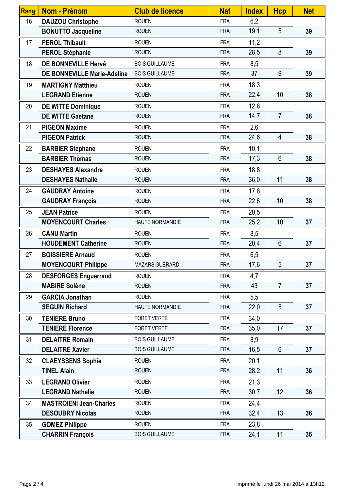| Rang | <b>Nom - Prénom</b>                | <b>Club de licence</b> | <b>Nat</b> | <b>Index</b> | <b>Hcp</b>     | <b>Net</b> |
|------|------------------------------------|------------------------|------------|--------------|----------------|------------|
| 16   | <b>DAUZOU Christophe</b>           | <b>ROUEN</b>           | <b>FRA</b> | 6,2          |                |            |
|      | <b>BONUTTO Jacqueline</b>          | <b>ROUEN</b>           | <b>FRA</b> | 19,1         | 5              | 39         |
| 17   | <b>PEROL Thibault</b>              | <b>ROUEN</b>           | <b>FRA</b> | 11,2         |                |            |
|      | <b>PEROL Stéphanie</b>             | <b>ROUEN</b>           | <b>FRA</b> | 28,5         | 8              | 39         |
| 18   | DE BONNEVILLE Hervé                | <b>BOIS GUILLAUME</b>  | <b>FRA</b> | 8,5          |                |            |
|      | <b>DE BONNEVILLE Marie-Adeline</b> | <b>BOIS GUILLAUME</b>  | <b>FRA</b> | 37           | 9              | 39         |
| 19   | <b>MARTIGNY Matthieu</b>           | <b>ROUEN</b>           | <b>FRA</b> | 18,3         |                |            |
|      | <b>LEGRAND Etienne</b>             | <b>ROUEN</b>           | <b>FRA</b> | 22,4         | 10             | 38         |
| 20   | <b>DE WITTE Dominique</b>          | <b>ROUEN</b>           | <b>FRA</b> | 12,8         |                |            |
|      | <b>DE WITTE Gaetane</b>            | <b>ROUEN</b>           | <b>FRA</b> | 14,7         | $\overline{7}$ | 38         |
| 21   | <b>PIGEON Maxime</b>               | <b>ROUEN</b>           | <b>FRA</b> | 2,6          |                |            |
|      | <b>PIGEON Patrick</b>              | <b>ROUEN</b>           | <b>FRA</b> | 24,6         | $\overline{4}$ | 38         |
| 22   | <b>BARBIER Stéphane</b>            | <b>ROUEN</b>           | <b>FRA</b> | 10,1         |                |            |
|      | <b>BARBIER Thomas</b>              | <b>ROUEN</b>           | <b>FRA</b> | 17,3         | $6\phantom{1}$ | 38         |
| 23   | <b>DESHAYES Alexandre</b>          | <b>ROUEN</b>           | <b>FRA</b> | 18,8         |                |            |
|      | <b>DESHAYES Nathalie</b>           | <b>ROUEN</b>           | <b>FRA</b> | 36,0         | 11             | 38         |
| 24   | <b>GAUDRAY Antoine</b>             | <b>ROUEN</b>           | <b>FRA</b> | 17,8         |                |            |
|      | <b>GAUDRAY François</b>            | <b>ROUEN</b>           | <b>FRA</b> | 22,6         | 10             | 38         |
| 25   | <b>JEAN Patrice</b>                | <b>ROUEN</b>           | <b>FRA</b> | 20,5         |                |            |
|      | <b>MOYENCOURT Charles</b>          | <b>HAUTE NORMANDIE</b> | <b>FRA</b> | 25,2         | 10             | 37         |
| 26   | <b>CANU Martin</b>                 | <b>ROUEN</b>           | <b>FRA</b> | 8,5          |                |            |
|      | <b>HOUDEMENT Catherine</b>         | <b>ROUEN</b>           | <b>FRA</b> | 20,4         | 6              | 37         |
| 27   | <b>BOISSIERE Arnaud</b>            | <b>ROUEN</b>           | <b>FRA</b> | 6,5          |                |            |
|      | <b>MOYENCOURT Philippe</b>         | <b>MAZARS GUERARD</b>  | <b>FRA</b> | 17,6         | 5              | 37         |
| 28   | <b>DESFORGES Enguerrand</b>        | <b>ROUEN</b>           | <b>FRA</b> | 4,7          |                |            |
|      | <b>MABIRE Solène</b>               | <b>ROUEN</b>           | <b>FRA</b> | 43           | $\overline{7}$ | 37         |
| 29   | <b>GARCIA Jonathan</b>             | <b>ROUEN</b>           | <b>FRA</b> | 5,5          |                |            |
|      | <b>SEGUIN Richard</b>              | HAUTE NORMANDIE        | <b>FRA</b> | 22,0         | 5              | 37         |
| 30   | <b>TENIERE Bruno</b>               | <b>FORET VERTE</b>     | <b>FRA</b> | 34,0         |                |            |
|      | <b>TENIERE Florence</b>            | <b>FORET VERTE</b>     | <b>FRA</b> | 35,0         | 17             | 37         |
| 31   | <b>DELAITRE Romain</b>             | <b>BOIS GUILLAUME</b>  | <b>FRA</b> | 8,9          |                |            |
|      | <b>DELAITRE Xavier</b>             | <b>BOIS GUILLAUME</b>  | <b>FRA</b> | 16,5         | 6              | 37         |
| 32   | <b>CLAEYSSENS Sophie</b>           | <b>ROUEN</b>           | <b>FRA</b> | 20,1         |                |            |
|      | <b>TINEL Alain</b>                 | <b>ROUEN</b>           | <b>FRA</b> | 28,2         | 11             | 36         |
| 33   | <b>LEGRAND Olivier</b>             | <b>ROUEN</b>           | <b>FRA</b> | 21,3         |                |            |
|      | <b>LEGRAND Nathalie</b>            | <b>ROUEN</b>           | <b>FRA</b> | 30,7         | 12             | 36         |
| 34   | <b>MASTROIENI Jean-Charles</b>     | <b>ROUEN</b>           | <b>FRA</b> | 24,4         |                |            |
|      | <b>DESOUBRY Nicolas</b>            | <b>ROUEN</b>           | <b>FRA</b> | 32,4         | 13             | 36         |
| 35   | <b>GOMEZ Philippe</b>              | <b>ROUEN</b>           | <b>FRA</b> | 23,8         |                |            |
|      | <b>CHARRIN François</b>            | <b>BOIS GUILLAUME</b>  | <b>FRA</b> | 24,1         | 11             | 36         |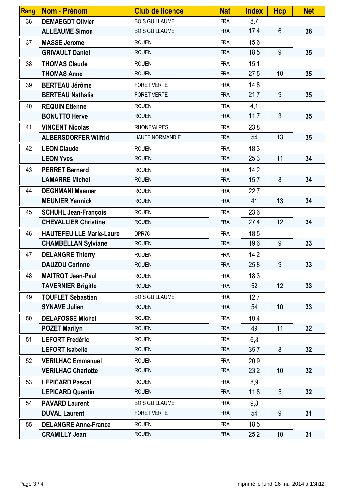| Rang | Nom - Prénom                    | <b>Club de licence</b> | <b>Nat</b> | <b>Index</b> | <b>Hcp</b>      | <b>Net</b> |
|------|---------------------------------|------------------------|------------|--------------|-----------------|------------|
| 36   | <b>DEMAEGDT Olivier</b>         | <b>BOIS GUILLAUME</b>  | <b>FRA</b> | 8,7          |                 |            |
|      | <b>ALLEAUME Simon</b>           | <b>BOIS GUILLAUME</b>  | <b>FRA</b> | 17,4         | $6\phantom{.}6$ | 36         |
| 37   | <b>MASSE Jerome</b>             | <b>ROUEN</b>           | <b>FRA</b> | 15,6         |                 |            |
|      | <b>GRIVAULT Daniel</b>          | <b>ROUEN</b>           | <b>FRA</b> | 18,5         | 9               | 35         |
| 38   | <b>THOMAS Claude</b>            | <b>ROUEN</b>           | <b>FRA</b> | 15,1         |                 |            |
|      | <b>THOMAS Anne</b>              | <b>ROUEN</b>           | <b>FRA</b> | 27,5         | 10              | 35         |
| 39   | <b>BERTEAU Jérôme</b>           | <b>FORET VERTE</b>     | <b>FRA</b> | 14,8         |                 |            |
|      | <b>BERTEAU Nathalie</b>         | FORET VERTE            | <b>FRA</b> | 21,7         | 9               | 35         |
| 40   | <b>REQUIN Etienne</b>           | <b>ROUEN</b>           | <b>FRA</b> | 4,1          |                 |            |
|      | <b>BONUTTO Herve</b>            | <b>ROUEN</b>           | <b>FRA</b> | 11,7         | $\mathfrak{Z}$  | 35         |
| 41   | <b>VINCENT Nicolas</b>          | RHONE/ALPES            | <b>FRA</b> | 23,8         |                 |            |
|      | <b>ALBERSDORFER Wilfrid</b>     | <b>HAUTE NORMANDIE</b> | <b>FRA</b> | 54           | 13              | 35         |
| 42   | <b>LEON Claude</b>              | <b>ROUEN</b>           | <b>FRA</b> | 18,3         |                 |            |
|      | <b>LEON Yves</b>                | <b>ROUEN</b>           | <b>FRA</b> | 25,3         | 11              | 34         |
| 43   | <b>PERRET Bernard</b>           | <b>ROUEN</b>           | <b>FRA</b> | 14,2         |                 |            |
|      | <b>LAMARRE Michel</b>           | <b>ROUEN</b>           | <b>FRA</b> | 15,7         | 8               | 34         |
| 44   | <b>DEGHMANI Maamar</b>          | <b>ROUEN</b>           | <b>FRA</b> | 22,7         |                 |            |
|      | <b>MEUNIER Yannick</b>          | <b>ROUEN</b>           | <b>FRA</b> | 41           | 13              | 34         |
| 45   | <b>SCHUHL Jean-François</b>     | <b>ROUEN</b>           | <b>FRA</b> | 23,6         |                 |            |
|      | <b>CHEVALLIER Christine</b>     | <b>ROUEN</b>           | <b>FRA</b> | 27,4         | 12              | 34         |
| 46   | <b>HAUTEFEUILLE Marie-Laure</b> | DPR76                  | <b>FRA</b> | 18,5         |                 |            |
|      | <b>CHAMBELLAN Sylviane</b>      | <b>ROUEN</b>           | <b>FRA</b> | 19,6         | 9               | 33         |
| 47   | <b>DELANGRE Thierry</b>         | <b>ROUEN</b>           | <b>FRA</b> | 14,2         |                 |            |
|      | <b>DAUZOU Corinne</b>           | <b>ROUEN</b>           | <b>FRA</b> | 25,8         | 9               | 33         |
| 48   | <b>MAITROT Jean-Paul</b>        | <b>ROUEN</b>           | <b>FRA</b> | 18,3         |                 |            |
|      | <b>TAVERNIER Brigitte</b>       | <b>ROUEN</b>           | <b>FRA</b> | 52           | 12              | 33         |
| 49   | <b>TOUFLET Sebastien</b>        | <b>BOIS GUILLAUME</b>  | <b>FRA</b> | 12,7         |                 |            |
|      | <b>SYNAVE Julien</b>            | <b>ROUEN</b>           | <b>FRA</b> | 54           | 10              | 33         |
| 50   | <b>DELAFOSSE Michel</b>         | <b>ROUEN</b>           | <b>FRA</b> | 19,4         |                 |            |
|      | <b>POZET Marilyn</b>            | <b>ROUEN</b>           | <b>FRA</b> | 49           | 11              | 32         |
| 51   | <b>LEFORT Frédéric</b>          | <b>ROUEN</b>           | <b>FRA</b> | 6,8          |                 |            |
|      | <b>LEFORT Isabelle</b>          | <b>ROUEN</b>           | <b>FRA</b> | 35,7         | 8               | 32         |
| 52   | <b>VERILHAC Emmanuel</b>        | <b>ROUEN</b>           | <b>FRA</b> | 20,9         |                 |            |
|      | <b>VERILHAC Charlotte</b>       | <b>ROUEN</b>           | <b>FRA</b> | 23,2         | 10 <sup>1</sup> | 32         |
| 53   | <b>LEPICARD Pascal</b>          | <b>ROUEN</b>           | <b>FRA</b> | 8,9          |                 |            |
|      | <b>LEPICARD Quentin</b>         | <b>ROUEN</b>           | <b>FRA</b> | 11,8         | 5               | 32         |
| 54   | <b>PAVARD Laurent</b>           | <b>BOIS GUILLAUME</b>  | <b>FRA</b> | 9,8          |                 |            |
|      | <b>DUVAL Laurent</b>            | FORET VERTE            | <b>FRA</b> | 54           | 9               | 31         |
| 55   | <b>DELANGRE Anne-France</b>     | <b>ROUEN</b>           | <b>FRA</b> | 18,5         |                 |            |
|      | <b>CRAMILLY Jean</b>            | <b>ROUEN</b>           | <b>FRA</b> | 25,2         | 10 <sup>1</sup> | 31         |